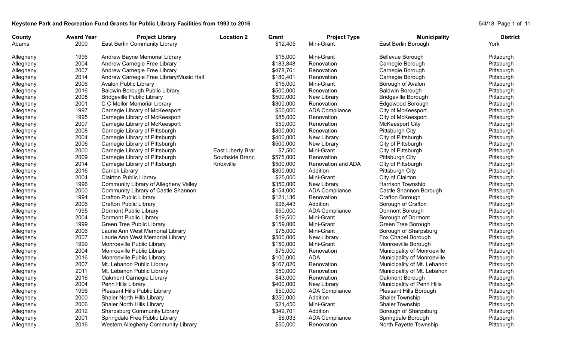## Keystone Park and Recreation Fund Grants for Public Library Facilities from 1993 to 2016<br>
S/4/18 Page 1 of 11

| County    | <b>Award Year</b> | <b>Project Library</b>                  | <b>Location 2</b> | Grant     | <b>Project Type</b>   | <b>Municipality</b>         | <b>District</b> |
|-----------|-------------------|-----------------------------------------|-------------------|-----------|-----------------------|-----------------------------|-----------------|
| Adams     | 2000              | East Berlin Community Library           |                   | \$12,405  | Mini-Grant            | East Berlin Borough         | York            |
| Allegheny | 1996              | Andrew Bayne Memorial Library           |                   | \$15,000  | Mini-Grant            | Bellevue Borough            | Pittsburgh      |
| Allegheny | 2004              | Andrew Carnegie Free Library            |                   | \$183,848 | Renovation            | Carnegie Borough            | Pittsburgh      |
| Allegheny | 2007              | Andrew Carnegie Free Library            |                   | \$478,761 | Renovation            | Carnegie Borough            | Pittsburgh      |
| Allegheny | 2014              | Andrew Carnegie Free Library/Music Hall |                   | \$180,401 | Renovation            | Carnegie Borough            | Pittsburgh      |
| Allegheny | 2006              | Avalon Public Library                   |                   | \$16,000  | Mini-Grant            | Borough of Avalon           | Pittsburgh      |
| Allegheny | 2016              | Baldwin Borough Public Library          |                   | \$500,000 | Renovation            | <b>Baldwin Borough</b>      | Pittsburgh      |
| Allegheny | 2008              | <b>Bridgeville Public Library</b>       |                   | \$500,000 | New Library           | <b>Bridgeville Borough</b>  | Pittsburgh      |
| Allegheny | 2001              | C C Mellor Memorial Library             |                   | \$300,000 | Renovation            | Edgewood Borough            | Pittsburgh      |
| Allegheny | 1997              | Carnegie Library of McKeesport          |                   | \$50,000  | <b>ADA Compliance</b> | City of McKeesport          | Pittsburgh      |
| Allegheny | 1995              | Carnegie Library of McKeesport          |                   | \$85,000  | Renovation            | City of McKeesport          | Pittsburgh      |
| Allegheny | 2007              | Carnegie Library of McKeesport          |                   | \$50,000  | Renovation            | <b>McKeesport City</b>      | Pittsburgh      |
| Allegheny | 2008              | Carnegie Library of Pittsburgh          |                   | \$300,000 | Renovation            | Pittsburgh City             | Pittsburgh      |
| Allegheny | 2004              | Carnegie Library of Pittsburgh          |                   | \$400,000 | New Library           | City of Pittsburgh          | Pittsburgh      |
| Allegheny | 2006              | Carnegie Library of Pittsburgh          |                   | \$500,000 | New Library           | City of Pittsburgh          | Pittsburgh      |
| Allegheny | 2000              | Carnegie Library of Pittsburgh          | East Liberty Brar | \$7,500   | Mini-Grant            | City of Pittsburgh          | Pittsburgh      |
| Allegheny | 2009              | Carnegie Library of Pittsburgh          | Southside Branc   | \$575,000 | Renovation            | Pittsburgh City             | Pittsburgh      |
| Allegheny | 2014              | Carnegie Library of Pittsburgh          | Knoxville         | \$500,000 | Renovation and ADA    | City of Pittsburgh          | Pittsburgh      |
| Allegheny | 2016              | Carrick Library                         |                   | \$300,000 | Addition              | Pittsburgh City             | Pittsburgh      |
| Allegheny | 2004              | <b>Clairton Public Library</b>          |                   | \$25,000  | Mini-Grant            | City of Clairton            | Pittsburgh      |
| Allegheny | 1996              | Community Library of Allegheny Valley   |                   | \$350,000 | New Library           | Harrison Township           | Pittsburgh      |
| Allegheny | 2000              | Community Library of Castle Shannon     |                   | \$154,000 | <b>ADA Compliance</b> | Castle Shannon Borough      | Pittsburgh      |
| Allegheny | 1994              | <b>Crafton Public Library</b>           |                   | \$121,136 | Renovation            | Crafton Borough             | Pittsburgh      |
| Allegheny | 2006              | <b>Crafton Public Library</b>           |                   | \$96,443  | Addition              | Borough of Crafton          | Pittsburgh      |
| Allegheny | 1995              | Dormont Public Library                  |                   | \$50,000  | <b>ADA Compliance</b> | Dormont Borough             | Pittsburgh      |
| Allegheny | 2004              | Dormont Public Library                  |                   | \$19,500  | Mini-Grant            | Borough of Dormont          | Pittsburgh      |
| Allegheny | 1999              | Green Tree Public Library               |                   | \$159,000 | Mini-Grant            | Green Tree Borough          | Pittsburgh      |
| Allegheny | 2006              | Laurie Ann West Memorial Library        |                   | \$75,000  | Mini-Grant            | Borough of Sharpsburg       | Pittsburgh      |
| Allegheny | 2007              | Laurie Ann West Memorial Library        |                   | \$500,000 | New Library           | Fox Chapel Borough          | Pittsburgh      |
| Allegheny | 1999              | Monroeville Public Library              |                   | \$150,000 | Mini-Grant            | Monroeville Borough         | Pittsburgh      |
| Allegheny | 2004              | Monroeville Public Library              |                   | \$75,000  | Renovation            | Municipality of Monroeville | Pittsburgh      |
| Allegheny | 2016              | Monroeville Public Library              |                   | \$100,000 | ADA                   | Municipality of Monroeville | Pittsburgh      |
| Allegheny | 2007              | Mt. Lebanon Public Library              |                   | \$167,020 | Renovation            | Municipality of Mt. Lebanon | Pittsburgh      |
| Allegheny | 2011              | Mt. Lebanon Public Library              |                   | \$50,000  | Renovation            | Municipality of Mt. Lebanon | Pittsburgh      |
| Allegheny | 2016              | Oakmont Carnegie Library                |                   | \$43,000  | Renovation            | Oakmont Borough             | Pittsburgh      |
| Allegheny | 2004              | Penn Hills Library                      |                   | \$400,000 | New Library           | Municipality of Penn Hills  | Pittsburgh      |
| Allegheny | 1996              | Pleasant Hills Public Library           |                   | \$50,000  | <b>ADA Compliance</b> | Pleasant Hills Borough      | Pittsburgh      |
| Allegheny | 2000              | Shaler North Hills Library              |                   | \$250,000 | Addition              | Shaler Township             | Pittsburgh      |
| Allegheny | 2006              | Shaler North Hills Library              |                   | \$21,450  | Mini-Grant            | Shaler Township             | Pittsburgh      |
| Allegheny | 2012              | <b>Sharpsburg Community Library</b>     |                   | \$349,701 | Addition              | Borough of Sharpsburg       | Pittsburgh      |
| Allegheny | 2001              | Springdale Free Public Library          |                   | \$6,033   | <b>ADA Compliance</b> | Springdale Borough          | Pittsburgh      |
| Allegheny | 2016              | Western Allegheny Community Library     |                   | \$50,000  | Renovation            | North Fayette Township      | Pittsburgh      |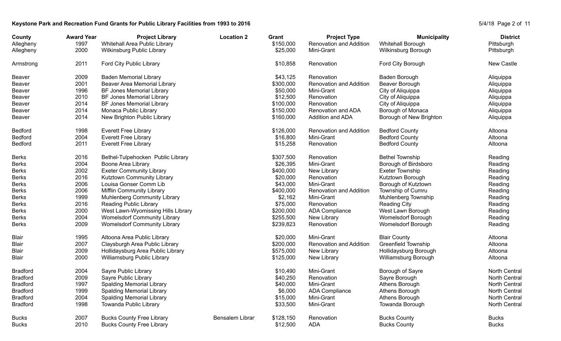## Keystone Park and Recreation Fund Grants for Public Library Facilities from 1993 to 2016<br>
S/4/18 Page 2 of 11

| County<br>Allegheny | <b>Award Year</b><br>1997 | <b>Project Library</b><br>Whitehall Area Public Library | <b>Location 2</b> | Grant<br>\$150,000 | <b>Project Type</b><br>Renovation and Addition | <b>Municipality</b><br>Whitehall Borough | <b>District</b><br>Pittsburgh |
|---------------------|---------------------------|---------------------------------------------------------|-------------------|--------------------|------------------------------------------------|------------------------------------------|-------------------------------|
| Allegheny           | 2000                      | Wilkinsburg Public Library                              |                   | \$25,000           | Mini-Grant                                     | Wilkinsburg Borough                      | Pittsburgh                    |
| Armstrong           | 2011                      | Ford City Public Library                                |                   | \$10,858           | Renovation                                     | Ford City Borough                        | New Castle                    |
| Beaver              | 2009                      | <b>Baden Memorial Library</b>                           |                   | \$43,125           | Renovation                                     | Baden Borough                            | Aliquippa                     |
| Beaver              | 2001                      | Beaver Area Memorial Library                            |                   | \$300,000          | <b>Renovation and Addition</b>                 | Beaver Borough                           | Aliquippa                     |
| Beaver              | 1996                      | <b>BF Jones Memorial Library</b>                        |                   | \$50,000           | Mini-Grant                                     | City of Aliquippa                        | Aliquippa                     |
| <b>Beaver</b>       | 2010                      | BF Jones Memorial Library                               |                   | \$12,500           | Renovation                                     | City of Aliquippa                        | Aliquippa                     |
| <b>Beaver</b>       | 2014                      | BF Jones Memorial Library                               |                   | \$100,000          | Renovation                                     | City of Aliquippa                        | Aliquippa                     |
| <b>Beaver</b>       | 2014                      | Monaca Public Library                                   |                   | \$150,000          | Renovation and ADA                             | Borough of Monaca                        | Aliquippa                     |
| <b>Beaver</b>       | 2014                      | New Brighton Public Library                             |                   | \$160,000          | Addition and ADA                               | Borough of New Brighton                  | Aliquippa                     |
| <b>Bedford</b>      | 1998                      | <b>Everett Free Library</b>                             |                   | \$126,000          | <b>Renovation and Addition</b>                 | <b>Bedford County</b>                    | Altoona                       |
| Bedford             | 2004                      | <b>Everett Free Library</b>                             |                   | \$16,800           | Mini-Grant                                     | <b>Bedford County</b>                    | Altoona                       |
| <b>Bedford</b>      | 2011                      | <b>Everett Free Library</b>                             |                   | \$15,258           | Renovation                                     | <b>Bedford County</b>                    | Altoona                       |
| <b>Berks</b>        | 2016                      | Bethel-Tulpehocken Public Library                       |                   | \$307,500          | Renovation                                     | <b>Bethel Township</b>                   | Reading                       |
| <b>Berks</b>        | 2004                      | Boone Area Library                                      |                   | \$26,395           | Mini-Grant                                     | Borough of Birdsboro                     | Reading                       |
| <b>Berks</b>        | 2002                      | <b>Exeter Community Library</b>                         |                   | \$400,000          | New Library                                    | <b>Exeter Township</b>                   | Reading                       |
| <b>Berks</b>        | 2016                      | Kutztown Community Library                              |                   | \$20,000           | Renovation                                     | Kutztown Borough                         | Reading                       |
| <b>Berks</b>        | 2006                      | Louisa Gonser Comm Lib                                  |                   | \$43,000           | Mini-Grant                                     | Borough of Kutztown                      | Reading                       |
| <b>Berks</b>        | 2006                      | Mifflin Community Library                               |                   | \$400,000          | Renovation and Addition                        | Township of Cumru                        | Reading                       |
| <b>Berks</b>        | 1999                      | Muhlenberg Community Library                            |                   | \$2,162            | Mini-Grant                                     | Muhlenberg Township                      | Reading                       |
| <b>Berks</b>        | 2016                      | Reading Public Library                                  |                   | \$75,000           | Renovation                                     | <b>Reading City</b>                      | Reading                       |
| <b>Berks</b>        | 2000                      | West Lawn-Wyomissing Hills Library                      |                   | \$200,000          | <b>ADA Compliance</b>                          | West Lawn Borough                        | Reading                       |
| <b>Berks</b>        | 2004                      | <b>Womelsdorf Community Library</b>                     |                   | \$255,500          | New Library                                    | Womelsdorf Borough                       | Reading                       |
| <b>Berks</b>        | 2009                      | <b>Womelsdorf Community Library</b>                     |                   | \$239,823          | Renovation                                     | Womelsdorf Borough                       | Reading                       |
| <b>Blair</b>        | 1995                      | Altoona Area Public Library                             |                   | \$20,000           | Mini-Grant                                     | <b>Blair County</b>                      | Altoona                       |
| <b>Blair</b>        | 2007                      | Claysburgh Area Public Library                          |                   | \$200,000          | <b>Renovation and Addition</b>                 | <b>Greenfield Township</b>               | Altoona                       |
| <b>Blair</b>        | 2009                      | Hollidaysburg Area Public Library                       |                   | \$575,000          | New Library                                    | Hollidaysburg Borough                    | Altoona                       |
| <b>Blair</b>        | 2000                      | Williamsburg Public Library                             |                   | \$125,000          | New Library                                    | Williamsburg Borough                     | Altoona                       |
| <b>Bradford</b>     | 2004                      | Sayre Public Library                                    |                   | \$10,490           | Mini-Grant                                     | Borough of Sayre                         | <b>North Central</b>          |
| <b>Bradford</b>     | 2009                      | Sayre Public Library                                    |                   | \$40,250           | Renovation                                     | Sayre Borough                            | <b>North Central</b>          |
| <b>Bradford</b>     | 1997                      | Spalding Memorial Library                               |                   | \$40,000           | Mini-Grant                                     | Athens Borough                           | <b>North Central</b>          |
| <b>Bradford</b>     | 1999                      | <b>Spalding Memorial Library</b>                        |                   | \$6,000            | <b>ADA Compliance</b>                          | Athens Borough                           | North Central                 |
| <b>Bradford</b>     | 2004                      | <b>Spalding Memorial Library</b>                        |                   | \$15,000           | Mini-Grant                                     | Athens Borough                           | North Central                 |
| <b>Bradford</b>     | 1998                      | Towanda Public Library                                  |                   | \$33,500           | Mini-Grant                                     | Towanda Borough                          | North Central                 |
| <b>Bucks</b>        | 2007                      | <b>Bucks County Free Library</b>                        | Bensalem Librar   | \$128,150          | Renovation                                     | <b>Bucks County</b>                      | <b>Bucks</b>                  |
| <b>Bucks</b>        | 2010                      | <b>Bucks County Free Library</b>                        |                   | \$12,500           | ADA                                            | <b>Bucks County</b>                      | <b>Bucks</b>                  |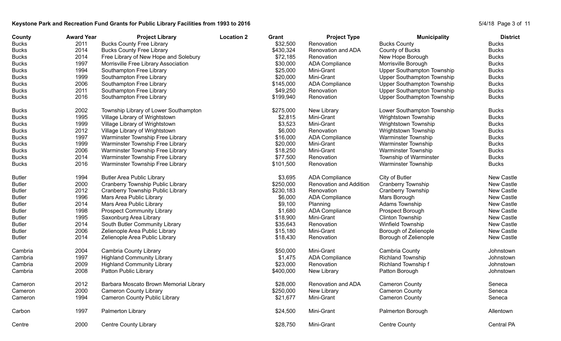## Keystone Park and Recreation Fund Grants for Public Library Facilities from 1993 to 2016<br>
S/4/18 Page 3 of 11

| County        | <b>Award Year</b> | <b>Project Library</b>                 | <b>Location 2</b> | Grant     | <b>Project Type</b>     | <b>Municipality</b>        | <b>District</b>   |
|---------------|-------------------|----------------------------------------|-------------------|-----------|-------------------------|----------------------------|-------------------|
| <b>Bucks</b>  | 2011              | <b>Bucks County Free Library</b>       |                   | \$32,500  | Renovation              | <b>Bucks County</b>        | <b>Bucks</b>      |
| <b>Bucks</b>  | 2014              | <b>Bucks County Free Library</b>       |                   | \$430,324 | Renovation and ADA      | County of Bucks            | <b>Bucks</b>      |
| <b>Bucks</b>  | 2014              | Free Library of New Hope and Solebury  |                   | \$72,185  | Renovation              | New Hope Borough           | <b>Bucks</b>      |
| <b>Bucks</b>  | 1997              | Morrisville Free Library Association   |                   | \$30,000  | <b>ADA Compliance</b>   | Morrisville Borough        | <b>Bucks</b>      |
| <b>Bucks</b>  | 1994              | Southampton Free Library               |                   | \$25,000  | Mini-Grant              | Upper Southampton Township | <b>Bucks</b>      |
| <b>Bucks</b>  | 1999              | Southampton Free Library               |                   | \$20,000  | Mini-Grant              | Upper Southampton Township | <b>Bucks</b>      |
| <b>Bucks</b>  | 2006              | Southampton Free Library               |                   | \$145,000 | <b>ADA Compliance</b>   | Upper Southampton Township | <b>Bucks</b>      |
| <b>Bucks</b>  | 2011              | Southampton Free Library               |                   | \$49,250  | Renovation              | Upper Southampton Township | <b>Bucks</b>      |
| <b>Bucks</b>  | 2016              | Southampton Free Library               |                   | \$199,940 | Renovation              | Upper Southampton Township | <b>Bucks</b>      |
| <b>Bucks</b>  | 2002              | Township Library of Lower Southampton  |                   | \$275,000 | New Library             | Lower Southampton Township | <b>Bucks</b>      |
| <b>Bucks</b>  | 1995              | Village Library of Wrightstown         |                   | \$2,815   | Mini-Grant              | Wrightstown Township       | <b>Bucks</b>      |
| <b>Bucks</b>  | 1999              | Village Library of Wrightstown         |                   | \$3,523   | Mini-Grant              | Wrightstown Township       | <b>Bucks</b>      |
| <b>Bucks</b>  | 2012              | Village Library of Wrightstown         |                   | \$6,000   | Renovation              | Wrightstown Township       | <b>Bucks</b>      |
| <b>Bucks</b>  | 1997              | Warminster Township Free Library       |                   | \$16,000  | <b>ADA Compliance</b>   | Warminster Township        | <b>Bucks</b>      |
| <b>Bucks</b>  | 1999              | Warminster Township Free Library       |                   | \$20,000  | Mini-Grant              | <b>Warminster Township</b> | <b>Bucks</b>      |
| <b>Bucks</b>  | 2006              | Warminster Township Free Library       |                   | \$18,250  | Mini-Grant              | <b>Warminster Township</b> | <b>Bucks</b>      |
| <b>Bucks</b>  | 2014              | Warminster Township Free Library       |                   | \$77,500  | Renovation              | Township of Warminster     | <b>Bucks</b>      |
| <b>Bucks</b>  | 2016              | Warminster Township Free Library       |                   | \$101,500 | Renovation              | <b>Warminster Township</b> | <b>Bucks</b>      |
| <b>Butler</b> | 1994              | <b>Butler Area Public Library</b>      |                   | \$3,695   | <b>ADA Compliance</b>   | City of Butler             | New Castle        |
| <b>Butler</b> | 2000              | Cranberry Township Public Library      |                   | \$250,000 | Renovation and Addition | <b>Cranberry Township</b>  | New Castle        |
| <b>Butler</b> | 2012              | Cranberry Township Public Library      |                   | \$230,183 | Renovation              | <b>Cranberry Township</b>  | New Castle        |
| <b>Butler</b> | 1996              | Mars Area Public Library               |                   | \$6,000   | <b>ADA Compliance</b>   | Mars Borough               | New Castle        |
| <b>Butler</b> | 2014              | Mars Area Public Library               |                   | \$9,100   | Planning                | Adams Township             | New Castle        |
| <b>Butler</b> | 1998              | <b>Prospect Community Library</b>      |                   | \$1,680   | <b>ADA Compliance</b>   | Prospect Borough           | New Castle        |
| <b>Butler</b> | 1995              | Saxonburg Area Library                 |                   | \$18,900  | Mini-Grant              | Clinton Township           | New Castle        |
| <b>Butler</b> | 2014              | South Butler Community Library         |                   | \$35,643  | Renovation              | Winfield Township          | New Castle        |
| <b>Butler</b> | 2006              | Zelienople Area Public Library         |                   | \$15,180  | Mini-Grant              | Borough of Zelienople      | New Castle        |
| <b>Butler</b> | 2014              | Zelienople Area Public Library         |                   | \$18,430  | Renovation              | Borough of Zelienople      | New Castle        |
| Cambria       | 2004              | Cambria County Library                 |                   | \$50,000  | Mini-Grant              | <b>Cambria County</b>      | Johnstown         |
| Cambria       | 1997              | <b>Highland Community Library</b>      |                   | \$1,475   | <b>ADA Compliance</b>   | <b>Richland Township</b>   | Johnstown         |
| Cambria       | 2009              | <b>Highland Community Library</b>      |                   | \$23,000  | Renovation              | Richland Township f        | Johnstown         |
| Cambria       | 2008              | Patton Public Library                  |                   | \$400,000 | New Library             | Patton Borough             | Johnstown         |
| Cameron       | 2012              | Barbara Moscato Brown Memorial Library |                   | \$28,000  | Renovation and ADA      | <b>Cameron County</b>      | Seneca            |
| Cameron       | 2000              | <b>Cameron County Library</b>          |                   | \$250,000 | New Library             | <b>Cameron County</b>      | Seneca            |
| Cameron       | 1994              | <b>Cameron County Public Library</b>   |                   | \$21,677  | Mini-Grant              | <b>Cameron County</b>      | Seneca            |
| Carbon        | 1997              | Palmerton Library                      |                   | \$24,500  | Mini-Grant              | Palmerton Borough          | Allentown         |
| Centre        | 2000              | <b>Centre County Library</b>           |                   | \$28,750  | Mini-Grant              | <b>Centre County</b>       | <b>Central PA</b> |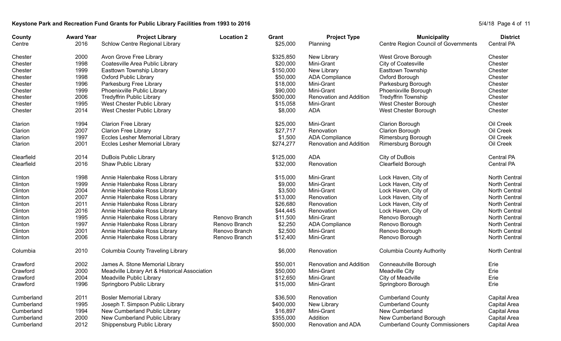## Keystone Park and Recreation Fund Grants for Public Library Facilities from 1993 to 2016<br>
S/4/18 Page 4 of 11

| County     | <b>Award Year</b> | <b>Project Library</b>                         | <b>Location 2</b> | Grant     | <b>Project Type</b>            | <b>Municipality</b>                    | <b>District</b>   |
|------------|-------------------|------------------------------------------------|-------------------|-----------|--------------------------------|----------------------------------------|-------------------|
| Centre     | 2016              | Schlow Centre Regional Library                 |                   | \$25,000  | Planning                       | Centre Region Council of Governments   | Central PA        |
| Chester    | 2000              | Avon Grove Free Library                        |                   | \$325,850 | New Library                    | West Grove Borough                     | Chester           |
| Chester    | 1998              | Coatesville Area Public Library                |                   | \$20,000  | Mini-Grant                     | City of Coatesville                    | Chester           |
| Chester    | 1999              | Easttown Township Library                      |                   | \$150,000 | New Library                    | Easttown Township                      | Chester           |
| Chester    | 1998              | Oxford Public Library                          |                   | \$50,000  | <b>ADA Compliance</b>          | Oxford Borough                         | Chester           |
| Chester    | 1996              | Parkesburg Free Library                        |                   | \$18,000  | Mini-Grant                     | Parkesburg Borough                     | Chester           |
| Chester    | 1999              | Phoenixville Public Library                    |                   | \$90,000  | Mini-Grant                     | Phoenixville Borough                   | Chester           |
| Chester    | 2006              | <b>Tredyffrin Public Library</b>               |                   | \$500,000 | Renovation and Addition        | Tredyffrin Township                    | Chester           |
| Chester    | 1995              | West Chester Public Library                    |                   | \$15,058  | Mini-Grant                     | West Chester Borough                   | Chester           |
| Chester    | 2014              | West Chester Public Library                    |                   | \$8,000   | ADA                            | West Chester Borough                   | Chester           |
| Clarion    | 1994              | <b>Clarion Free Library</b>                    |                   | \$25,000  | Mini-Grant                     | <b>Clarion Borough</b>                 | Oil Creek         |
| Clarion    | 2007              | <b>Clarion Free Library</b>                    |                   | \$27,717  | Renovation                     | <b>Clarion Borough</b>                 | Oil Creek         |
| Clarion    | 1997              | <b>Eccles Lesher Memorial Library</b>          |                   | \$1,500   | <b>ADA Compliance</b>          | Rimersburg Borough                     | Oil Creek         |
| Clarion    | 2001              | <b>Eccles Lesher Memorial Library</b>          |                   | \$274,277 | Renovation and Addition        | Rimersburg Borough                     | Oil Creek         |
| Clearfield | 2014              | <b>DuBois Public Library</b>                   |                   | \$125,000 | <b>ADA</b>                     | City of DuBois                         | <b>Central PA</b> |
| Clearfield | 2016              | Shaw Public Library                            |                   | \$32,000  | Renovation                     | Clearfield Borough                     | Central PA        |
| Clinton    | 1998              | Annie Halenbake Ross Library                   |                   | \$15,000  | Mini-Grant                     | Lock Haven, City of                    | North Central     |
| Clinton    | 1999              | Annie Halenbake Ross Library                   |                   | \$9,000   | Mini-Grant                     | Lock Haven, City of                    | North Central     |
| Clinton    | 2004              | Annie Halenbake Ross Library                   |                   | \$3,500   | Mini-Grant                     | Lock Haven, City of                    | North Central     |
| Clinton    | 2007              | Annie Halenbake Ross Library                   |                   | \$13,000  | Renovation                     | Lock Haven, City of                    | North Central     |
| Clinton    | 2011              | Annie Halenbake Ross Library                   |                   | \$26,680  | Renovation                     | Lock Haven, City of                    | North Central     |
| Clinton    | 2016              | Annie Halenbake Ross Library                   |                   | \$44,445  | Renovation                     | Lock Haven, City of                    | North Central     |
| Clinton    | 1995              | Annie Halenbake Ross Library                   | Renovo Branch     | \$11,500  | Mini-Grant                     | Renovo Borough                         | North Central     |
| Clinton    | 1997              | Annie Halenbake Ross Library                   | Renovo Branch     | \$2,250   | <b>ADA Compliance</b>          | Renovo Borough                         | North Central     |
| Clinton    | 2001              | Annie Halenbake Ross Library                   | Renovo Branch     | \$2,500   | Mini-Grant                     | Renovo Borough                         | North Central     |
| Clinton    | 2006              | Annie Halenbake Ross Library                   | Renovo Branch     | \$12,400  | Mini-Grant                     | Renovo Borough                         | North Central     |
| Columbia   | 2010              | <b>Columbia County Traveling Library</b>       |                   | \$6,000   | Renovation                     | <b>Columbia County Authority</b>       | North Central     |
| Crawford   | 2002              | James A. Stone Memorial Library                |                   | \$50,001  | <b>Renovation and Addition</b> | Conneautville Borough                  | Erie              |
| Crawford   | 2000              | Meadville Library Art & Historical Association |                   | \$50,000  | Mini-Grant                     | Meadville City                         | Erie              |
| Crawford   | 2004              | Meadville Public Library                       |                   | \$12,650  | Mini-Grant                     | City of Meadville                      | Erie              |
| Crawford   | 1996              | Springboro Public Library                      |                   | \$15,000  | Mini-Grant                     | Springboro Borough                     | Erie              |
| Cumberland | 2011              | <b>Bosler Memorial Library</b>                 |                   | \$36,500  | Renovation                     | <b>Cumberland County</b>               | Capital Area      |
| Cumberland | 1995              | Joseph T. Simpson Public Library               |                   | \$400,000 | New Library                    | <b>Cumberland County</b>               | Capital Area      |
| Cumberland | 1994              | New Cumberland Public Library                  |                   | \$16,897  | Mini-Grant                     | New Cumberland                         | Capital Area      |
| Cumberland | 2000              | New Cumberland Public Library                  |                   | \$355,000 | Addition                       | New Cumberland Borough                 | Capital Area      |
| Cumberland | 2012              | Shippensburg Public Library                    |                   | \$500,000 | Renovation and ADA             | <b>Cumberland County Commissioners</b> | Capital Area      |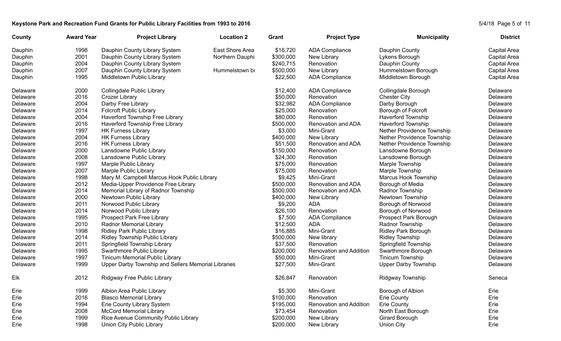## Keystone Park and Recreation Fund Grants for Public Library Facilities from 1993 to 2016<br>
S/4/18 Page 5 of 11

| County   | <b>Award Year</b> | <b>Project Library</b>                              | <b>Location 2</b> | Grant     | <b>Project Type</b>            | <b>Municipality</b>         | <b>District</b> |
|----------|-------------------|-----------------------------------------------------|-------------------|-----------|--------------------------------|-----------------------------|-----------------|
| Dauphin  | 1998              | Dauphin County Library System                       | East Shore Area   | \$16,720  | <b>ADA Compliance</b>          | Dauphin County              | Capital Area    |
| Dauphin  | 2001              | Dauphin County Library System                       | Northern Dauphi   | \$300,000 | New Library                    | Lykens Borough              | Capital Area    |
| Dauphin  | 2004              | Dauphin County Library System                       |                   | \$240,715 | Renovation                     | Dauphin County              | Capital Area    |
| Dauphin  | 2007              | Dauphin County Library System                       | Hummelstown bi    | \$500,000 | New Library                    | Hummelstown Borough         | Capital Area    |
| Dauphin  | 1995              | Middletown Public Library                           |                   | \$22,500  | <b>ADA Compliance</b>          | Middletown Borough          | Capital Area    |
| Delaware | 2000              | Collingdale Public Library                          |                   | \$12,400  | <b>ADA Compliance</b>          | Collingdale Borough         | Delaware        |
| Delaware | 2016              | Crozer Library                                      |                   | \$50,000  | Renovation                     | <b>Chester City</b>         | Delaware        |
| Delaware | 2004              | Darby Free Library                                  |                   | \$32,982  | <b>ADA Compliance</b>          | Darby Borough               | Delaware        |
| Delaware | 2014              | <b>Folcroft Public Library</b>                      |                   | \$25,000  | Renovation                     | Borough of Folcroft         | Delaware        |
| Delaware | 2004              | Haverford Township Free Library                     |                   | \$80,000  | Renovation                     | <b>Haverford Township</b>   | Delaware        |
| Delaware | 2016              | Haverford Township Free Library                     |                   | \$500,000 | Renovation and ADA             | <b>Haverford Township</b>   | Delaware        |
| Delaware | 1997              | <b>HK Furness Library</b>                           |                   | \$3,000   | Mini-Grant                     | Nether Providence Township  | Delaware        |
| Delaware | 2004              | <b>HK Furness Library</b>                           |                   | \$400,000 | New Library                    | Nether Providence Township  | Delaware        |
| Delaware | 2016              | <b>HK Furness Library</b>                           |                   | \$51,500  | Renovation and ADA             | Nether Providence Township  | Delaware        |
| Delaware | 2000              | Lansdowne Public Library                            |                   | \$150,000 | Renovation                     | Lansdowne Borough           | Delaware        |
| Delaware | 2008              | Lansdowne Public Library                            |                   | \$24,300  | Renovation                     | Lansdowne Borough           | Delaware        |
| Delaware | 1997              | Marple Public Library                               |                   | \$75,000  | Renovation                     | Marple Township             | Delaware        |
| Delaware | 2007              | Marple Public Library                               |                   | \$75,000  | Renovation                     | Marple Township             | Delaware        |
| Delaware | 1998              | Mary M. Campbell Marcus Hook Public Library         |                   | \$9,425   | Mini-Grant                     | Marcus Hook Township        | Delaware        |
| Delaware | 2012              | Media-Upper Providence Free Library                 |                   | \$500,000 | Renovation and ADA             | Borough of Media            | Delaware        |
| Delaware | 2014              | Memorial Library of Radnor Township                 |                   | \$500,000 | Renovation and ADA             | Radnor Township             | Delaware        |
| Delaware | 2000              | Newtown Public Library                              |                   | \$400,000 | New Library                    | Newtown Township            | Delaware        |
| Delaware | 2011              | Norwood Public Library                              |                   | \$9,200   | ADA                            | Borough of Norwood          | Delaware        |
| Delaware | 2014              | Norwood Public Library                              |                   | \$26,100  | Renovation                     | Borough of Norwood          | Delaware        |
| Delaware | 1995              | Prospect Park Free Library                          |                   | \$7,500   | <b>ADA Compliance</b>          | Prospect Park Borough       | Delaware        |
| Delaware | 2010              | Radnor Memorial Library                             |                   | \$12,500  | ADA                            | Radnor Township             | Delaware        |
| Delaware | 1998              | <b>Ridley Park Public Library</b>                   |                   | \$16,885  | Mini-Grant                     | <b>Ridley Park Borough</b>  | Delaware        |
| Delaware | 2014              | Ridley Township Public Library                      |                   | \$500,000 | New library                    | <b>Ridley Township</b>      | Delaware        |
| Delaware | 2011              | Springfield Township Library                        |                   | \$37,500  | Renovation                     | Springfield Township        | Delaware        |
| Delaware | 1995              | Swarthmore Public Library                           |                   | \$200,000 | <b>Renovation and Addition</b> | Swarthmore Borough          | Delaware        |
| Delaware | 1997              | Tinicum Memorial Public Library                     |                   | \$50,000  | Mini-Grant                     | Tinicum Township            | Delaware        |
| Delaware | 1999              | Upper Darby Township and Sellers Memorial Libraries |                   | \$27,500  | Mini-Grant                     | <b>Upper Darby Township</b> | Delaware        |
| Elk      | 2012              | Ridgway Free Public Library                         |                   | \$26,847  | Renovation                     | Ridgway Township            | Seneca          |
| Erie     | 1999              | Albion Area Public Library                          |                   | \$5,300   | Mini-Grant                     | Borough of Albion           | Erie            |
| Erie     | 2016              | <b>Blasco Memorial Library</b>                      |                   | \$100,000 | Renovation                     | <b>Erie County</b>          | Erie            |
| Erie     | 1994              | Erie County Library System                          |                   | \$195,000 | Renovation and Addition        | <b>Erie County</b>          | Erie            |
| Erie     | 2008              | <b>McCord Memorial Library</b>                      |                   | \$73,454  | Renovation                     | North East Borough          | Erie            |
| Erie     | 1999              | Rice Avenue Community Public Library                |                   | \$200,000 | New Library                    | Girard Borough              | Erie            |
| Erie     | 1998              | Union City Public Library                           |                   | \$200,000 | New Library                    | Union City                  | Erie            |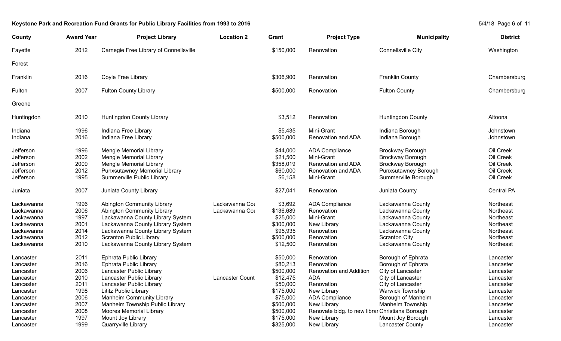# Keystone Park and Recreation Fund Grants for Public Library Facilities from 1993 to 2016<br>
S/4/18 Page 6 of 11

| County     | <b>Award Year</b> | <b>Project Library</b>                 | <b>Location 2</b> | Grant     | <b>Project Type</b>                             | <b>Municipality</b>       | <b>District</b> |
|------------|-------------------|----------------------------------------|-------------------|-----------|-------------------------------------------------|---------------------------|-----------------|
| Fayette    | 2012              | Carnegie Free Library of Connellsville |                   | \$150,000 | Renovation                                      | <b>Connellsville City</b> | Washington      |
| Forest     |                   |                                        |                   |           |                                                 |                           |                 |
| Franklin   | 2016              | Coyle Free Library                     |                   | \$306,900 | Renovation                                      | Franklin County           | Chambersburg    |
| Fulton     | 2007              | <b>Fulton County Library</b>           |                   | \$500,000 | Renovation                                      | <b>Fulton County</b>      | Chambersburg    |
| Greene     |                   |                                        |                   |           |                                                 |                           |                 |
| Huntingdon | 2010              | Huntingdon County Library              |                   | \$3,512   | Renovation                                      | <b>Huntingdon County</b>  | Altoona         |
| Indiana    | 1996              | Indiana Free Library                   |                   | \$5,435   | Mini-Grant                                      | Indiana Borough           | Johnstown       |
| Indiana    | 2016              | Indiana Free Library                   |                   | \$500,000 | Renovation and ADA                              | Indiana Borough           | Johnstown       |
| Jefferson  | 1996              | Mengle Memorial Library                |                   | \$44,000  | <b>ADA Compliance</b>                           | <b>Brockway Borough</b>   | Oil Creek       |
| Jefferson  | 2002              | <b>Mengle Memorial Library</b>         |                   | \$21,500  | Mini-Grant                                      | <b>Brockway Borough</b>   | Oil Creek       |
| Jefferson  | 2009              | <b>Mengle Memorial Library</b>         |                   | \$358,019 | Renovation and ADA                              | Brockway Borough          | Oil Creek       |
| Jefferson  | 2012              | Punxsutawney Memorial Library          |                   | \$60,000  | Renovation and ADA                              | Punxsutawney Borough      | Oil Creek       |
| Jefferson  | 1995              | Summerville Public Library             |                   | \$6,158   | Mini-Grant                                      | Summerville Borough       | Oil Creek       |
| Juniata    | 2007              | Juniata County Library                 |                   | \$27,041  | Renovation                                      | Juniata County            | Central PA      |
| Lackawanna | 1996              | <b>Abington Community Library</b>      | Lackawanna Cor    | \$3,692   | <b>ADA Compliance</b>                           | Lackawanna County         | Northeast       |
| Lackawanna | 2006              | <b>Abington Community Library</b>      | Lackawanna Cor    | \$136,689 | Renovation                                      | Lackawanna County         | Northeast       |
| Lackawanna | 1997              | Lackawanna County Library System       |                   | \$25,000  | Mini-Grant                                      | Lackawanna County         | Northeast       |
| Lackawanna | 2001              | Lackawanna County Library System       |                   | \$300,000 | New Library                                     | Lackawanna County         | Northeast       |
| Lackawanna | 2014              | Lackawanna County Library System       |                   | \$95,935  | Renovation                                      | Lackawanna County         | Northeast       |
| Lackawanna | 2012              | <b>Scranton Public Library</b>         |                   | \$500,000 | Renovation                                      | <b>Scranton City</b>      | Northeast       |
| Lackawanna | 2010              | Lackawanna County Library System       |                   | \$12,500  | Renovation                                      | Lackawanna County         | Northeast       |
| Lancaster  | 2011              | Ephrata Public Library                 |                   | \$50,000  | Renovation                                      | Borough of Ephrata        | Lancaster       |
| Lancaster  | 2016              | Ephrata Public Library                 |                   | \$80,213  | Renovation                                      | Borough of Ephrata        | Lancaster       |
| Lancaster  | 2006              | Lancaster Public Library               |                   | \$500,000 | <b>Renovation and Addition</b>                  | City of Lancaster         | Lancaster       |
| Lancaster  | 2010              | Lancaster Public Library               | Lancaster Count   | \$12,475  | <b>ADA</b>                                      | City of Lancaster         | Lancaster       |
| Lancaster  | 2011              | Lancaster Public Library               |                   | \$50,000  | Renovation                                      | City of Lancaster         | Lancaster       |
| Lancaster  | 1998              | Lititz Public Library                  |                   | \$175,000 | New Library                                     | <b>Warwick Township</b>   | Lancaster       |
| Lancaster  | 2006              | Manheim Community Library              |                   | \$75,000  | <b>ADA Compliance</b>                           | Borough of Manheim        | Lancaster       |
| Lancaster  | 2007              | Manheim Township Public Library        |                   | \$500,000 | New Library                                     | Manheim Township          | Lancaster       |
| Lancaster  | 2008              | <b>Moores Memorial Library</b>         |                   | \$500,000 | Renovate bldg. to new librar Christiana Borough |                           | Lancaster       |
| Lancaster  | 1997              | Mount Joy Library                      |                   | \$175,000 | New Library                                     | Mount Joy Borough         | Lancaster       |
| Lancaster  | 1999              | Quarryville Library                    |                   | \$325,000 | New Library                                     | Lancaster County          | Lancaster       |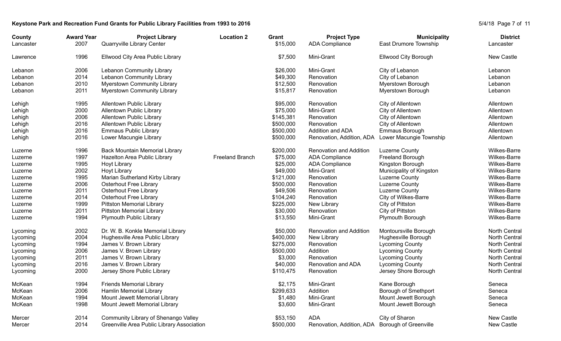## Keystone Park and Recreation Fund Grants for Public Library Facilities from 1993 to 2016<br>
S/4/18 Page 7 of 11

| County<br>Lancaster | <b>Award Year</b><br>2007 | <b>Project Library</b><br>Quarryville Library Center | <b>Location 2</b>      | Grant<br>\$15,000 | <b>Project Type</b><br><b>ADA Compliance</b> | <b>Municipality</b><br>East Drumore Township | <b>District</b><br>Lancaster |
|---------------------|---------------------------|------------------------------------------------------|------------------------|-------------------|----------------------------------------------|----------------------------------------------|------------------------------|
| Lawrence            | 1996                      | Ellwood City Area Public Library                     |                        | \$7,500           | Mini-Grant                                   | <b>Ellwood City Borough</b>                  | New Castle                   |
| Lebanon             | 2006                      | Lebanon Community Library                            |                        | \$26,000          | Mini-Grant                                   | City of Lebanon                              | Lebanon                      |
| Lebanon             | 2014                      | Lebanon Community Library                            |                        | \$49,300          | Renovation                                   | City of Lebanon                              | Lebanon                      |
| Lebanon             | 2010                      | <b>Myerstown Community Library</b>                   |                        | \$12,500          | Renovation                                   | Myerstown Borough                            | Lebanon                      |
| Lebanon             | 2011                      | Myerstown Community Library                          |                        | \$15,817          | Renovation                                   | Myerstown Borough                            | Lebanon                      |
| Lehigh              | 1995                      | Allentown Public Library                             |                        | \$95,000          | Renovation                                   | City of Allentown                            | Allentown                    |
| Lehigh              | 2000                      | Allentown Public Library                             |                        | \$75,000          | Mini-Grant                                   | City of Allentown                            | Allentown                    |
| Lehigh              | 2006                      | Allentown Public Library                             |                        | \$145,381         | Renovation                                   | City of Allentown                            | Allentown                    |
| Lehigh              | 2016                      | Allentown Public Library                             |                        | \$500,000         | Renovation                                   | City of Allentown                            | Allentown                    |
| Lehigh              | 2016                      | <b>Emmaus Public Library</b>                         |                        | \$500,000         | Addition and ADA                             | Emmaus Borough                               | Allentown                    |
| Lehigh              | 2016                      | Lower Macungie Library                               |                        | \$500,000         | Renovation, Addition, ADA                    | Lower Macungie Township                      | Allentown                    |
| Luzerne             | 1996                      | <b>Back Mountain Memorial Library</b>                |                        | \$200,000         | <b>Renovation and Addition</b>               | Luzerne County                               | <b>Wilkes-Barre</b>          |
| Luzerne             | 1997                      | Hazelton Area Public Library                         | <b>Freeland Branch</b> | \$75,000          | <b>ADA Compliance</b>                        | <b>Freeland Borough</b>                      | <b>Wilkes-Barre</b>          |
| Luzerne             | 1995                      | <b>Hoyt Library</b>                                  |                        | \$25,000          | <b>ADA Compliance</b>                        | Kingston Borough                             | <b>Wilkes-Barre</b>          |
| Luzerne             | 2002                      | Hoyt Library                                         |                        | \$49,000          | Mini-Grant                                   | Municipality of Kingston                     | Wilkes-Barre                 |
| Luzerne             | 1995                      | Marian Sutherland Kirby Library                      |                        | \$121,000         | Renovation                                   | Luzerne County                               | Wilkes-Barre                 |
| Luzerne             | 2006                      | <b>Osterhout Free Library</b>                        |                        | \$500,000         | Renovation                                   | Luzerne County                               | Wilkes-Barre                 |
| Luzerne             | 2011                      | <b>Osterhout Free Library</b>                        |                        | \$49,506          | Renovation                                   | Luzerne County                               | Wilkes-Barre                 |
| Luzerne             | 2014                      | <b>Osterhout Free Library</b>                        |                        | \$104,240         | Renovation                                   | City of Wilkes-Barre                         | Wilkes-Barre                 |
| Luzerne             | 1999                      | <b>Pittston Memorial Library</b>                     |                        | \$225,000         | New Library                                  | City of Pittston                             | Wilkes-Barre                 |
| Luzerne             | 2011                      | <b>Pittston Memorial Library</b>                     |                        | \$30,000          | Renovation                                   | City of Pittston                             | Wilkes-Barre                 |
| Luzerne             | 1994                      | <b>Plymouth Public Library</b>                       |                        | \$13,550          | Mini-Grant                                   | Plymouth Borough                             | Wilkes-Barre                 |
| Lycoming            | 2002                      | Dr. W. B. Konkle Memorial Library                    |                        | \$50,000          | <b>Renovation and Addition</b>               | Montoursville Borough                        | <b>North Central</b>         |
| Lycoming            | 2004                      | Hughesville Area Public Library                      |                        | \$400,000         | New Library                                  | Hughesville Borough                          | <b>North Central</b>         |
| Lycoming            | 1994                      | James V. Brown Library                               |                        | \$275,000         | Renovation                                   | <b>Lycoming County</b>                       | North Central                |
| Lycoming            | 2006                      | James V. Brown Library                               |                        | \$500,000         | Addition                                     | <b>Lycoming County</b>                       | <b>North Central</b>         |
| Lycoming            | 2011                      | James V. Brown Library                               |                        | \$3,000           | Renovation                                   | <b>Lycoming County</b>                       | <b>North Central</b>         |
| Lycoming            | 2016                      | James V. Brown Library                               |                        | \$40,000          | Renovation and ADA                           | <b>Lycoming County</b>                       | North Central                |
| Lycoming            | 2000                      | Jersey Shore Public Library                          |                        | \$110,475         | Renovation                                   | Jersey Shore Borough                         | North Central                |
| McKean              | 1994                      | <b>Friends Memorial Library</b>                      |                        | \$2,175           | Mini-Grant                                   | Kane Borough                                 | Seneca                       |
| McKean              | 2006                      | Hamlin Memorial Library                              |                        | \$299,633         | Addition                                     | Borough of Smethport                         | Seneca                       |
| McKean              | 1994                      | Mount Jewett Memorial Library                        |                        | \$1,480           | Mini-Grant                                   | Mount Jewett Borough                         | Seneca                       |
| McKean              | 1998                      | Mount Jewett Memorial Library                        |                        | \$3,600           | Mini-Grant                                   | Mount Jewett Borough                         | Seneca                       |
| Mercer              | 2014                      | Community Library of Shenango Valley                 |                        | \$53,150          | <b>ADA</b>                                   | City of Sharon                               | New Castle                   |
| Mercer              | 2014                      | Greenville Area Public Library Association           |                        | \$500,000         | Renovation, Addition, ADA                    | <b>Borough of Greenville</b>                 | New Castle                   |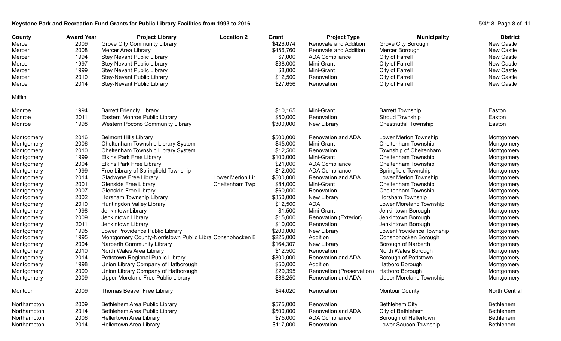## Keystone Park and Recreation Fund Grants for Public Library Facilities from 1993 to 2016

|  | 5/4/18 Page 8 of 11 |  |  |  |
|--|---------------------|--|--|--|
|--|---------------------|--|--|--|

| County<br>Mercer<br>Mercer<br>Mercer<br>Mercer<br>Mercer<br>Mercer<br>Mercer | <b>Award Year</b><br>2009<br>2008<br>1994<br>1997<br>1999<br>2010<br>2014 | <b>Project Library</b><br><b>Grove City Community Library</b><br>Mercer Area Library<br><b>Stey Nevant Public Library</b><br><b>Stey Nevant Public Library</b><br><b>Stey Nevant Public Library</b><br>Stey-Nevant Public Library<br>Stey-Nevant Public Library | <b>Location 2</b> | Grant<br>\$426,074<br>\$456,760<br>\$7,000<br>\$38,000<br>\$8,000<br>\$12,500<br>\$27,656 | <b>Project Type</b><br>Renovate and Addition<br>Renovate and Addition<br><b>ADA Compliance</b><br>Mini-Grant<br>Mini-Grant<br>Renovation<br>Renovation | <b>Municipality</b><br>Grove City Borough<br>Mercer Borough<br>City of Farrell<br>City of Farrell<br>City of Farrell<br>City of Farrell<br>City of Farrell | <b>District</b><br><b>New Castle</b><br>New Castle<br>New Castle<br>New Castle<br>New Castle<br>New Castle<br>New Castle |
|------------------------------------------------------------------------------|---------------------------------------------------------------------------|-----------------------------------------------------------------------------------------------------------------------------------------------------------------------------------------------------------------------------------------------------------------|-------------------|-------------------------------------------------------------------------------------------|--------------------------------------------------------------------------------------------------------------------------------------------------------|------------------------------------------------------------------------------------------------------------------------------------------------------------|--------------------------------------------------------------------------------------------------------------------------|
| Mifflin                                                                      |                                                                           |                                                                                                                                                                                                                                                                 |                   |                                                                                           |                                                                                                                                                        |                                                                                                                                                            |                                                                                                                          |
| Monroe                                                                       | 1994                                                                      | <b>Barrett Friendly Library</b>                                                                                                                                                                                                                                 |                   | \$10,165                                                                                  | Mini-Grant                                                                                                                                             | <b>Barrett Township</b>                                                                                                                                    | Easton                                                                                                                   |
| Monroe                                                                       | 2011                                                                      | Eastern Monroe Public Library                                                                                                                                                                                                                                   |                   | \$50,000                                                                                  | Renovation                                                                                                                                             | Stroud Township                                                                                                                                            | Easton                                                                                                                   |
| Monroe                                                                       | 1998                                                                      | <b>Western Pocono Community Library</b>                                                                                                                                                                                                                         |                   | \$300,000                                                                                 | New Library                                                                                                                                            | <b>Chestnuthill Township</b>                                                                                                                               | Easton                                                                                                                   |
| Montgomery                                                                   | 2016                                                                      | <b>Belmont Hills Library</b>                                                                                                                                                                                                                                    |                   | \$500,000                                                                                 | Renovation and ADA                                                                                                                                     | Lower Merion Township                                                                                                                                      | Montgomery                                                                                                               |
| Montgomery                                                                   | 2006                                                                      | Cheltenham Township Library System                                                                                                                                                                                                                              |                   | \$45,000                                                                                  | Mini-Grant                                                                                                                                             | Cheltenham Township                                                                                                                                        | Montgomery                                                                                                               |
| Montgomery                                                                   | 2010                                                                      | Cheltenham Township Library System                                                                                                                                                                                                                              |                   | \$12,500                                                                                  | Renovation                                                                                                                                             | Township of Cheltenham                                                                                                                                     | Montgomery                                                                                                               |
| Montgomery                                                                   | 1999                                                                      | <b>Elkins Park Free Library</b>                                                                                                                                                                                                                                 |                   | \$100,000                                                                                 | Mini-Grant                                                                                                                                             | Cheltenham Township                                                                                                                                        | Montgomery                                                                                                               |
| Montgomery                                                                   | 2004                                                                      | <b>Elkins Park Free Library</b>                                                                                                                                                                                                                                 |                   | \$21,000                                                                                  | <b>ADA Compliance</b>                                                                                                                                  | Cheltenham Township                                                                                                                                        | Montgomery                                                                                                               |
| Montgomery                                                                   | 1999                                                                      | Free Library of Springfield Township                                                                                                                                                                                                                            |                   | \$12,000                                                                                  | <b>ADA Compliance</b>                                                                                                                                  | Springfield Township                                                                                                                                       | Montgomery                                                                                                               |
| Montgomery                                                                   | 2014                                                                      | Gladwyne Free Library                                                                                                                                                                                                                                           | Lower Merion Lit  | \$500,000                                                                                 | Renovation and ADA                                                                                                                                     | Lower Merion Township                                                                                                                                      | Montgomery                                                                                                               |
| Montgomery                                                                   | 2001                                                                      | <b>Glenside Free Library</b>                                                                                                                                                                                                                                    | Cheltenham Twp    | \$84,000                                                                                  | Mini-Grant                                                                                                                                             | Cheltenham Township                                                                                                                                        | Montgomery                                                                                                               |
| Montgomery                                                                   | 2007                                                                      | <b>Glenside Free Library</b>                                                                                                                                                                                                                                    |                   | \$60,000                                                                                  | Renovation                                                                                                                                             | Cheltenham Township                                                                                                                                        | Montgomery                                                                                                               |
| Montgomery                                                                   | 2002                                                                      | Horsham Township Library                                                                                                                                                                                                                                        |                   | \$350,000                                                                                 | New Library                                                                                                                                            | Horsham Township                                                                                                                                           | Montgomery                                                                                                               |
| Montgomery                                                                   | 2010                                                                      | Huntingdon Valley Library                                                                                                                                                                                                                                       |                   | \$12,500                                                                                  | <b>ADA</b>                                                                                                                                             | Lower Moreland Township                                                                                                                                    | Montgomery                                                                                                               |
| Montgomery                                                                   | 1998                                                                      | JenkintownLibrary                                                                                                                                                                                                                                               |                   | \$1,500                                                                                   | Mini-Grant                                                                                                                                             | Jenkintown Borough                                                                                                                                         | Montgomery                                                                                                               |
| Montgomery                                                                   | 2009                                                                      | Jenkintown Library                                                                                                                                                                                                                                              |                   | \$15,000                                                                                  | Renovation (Exterior)                                                                                                                                  | Jenkintown Borough                                                                                                                                         | Montgomery                                                                                                               |
| Montgomery                                                                   | 2011                                                                      | Jenkintown Library                                                                                                                                                                                                                                              |                   | \$10,000                                                                                  | Renovation                                                                                                                                             | Jenkintown Borough                                                                                                                                         | Montgomery                                                                                                               |
| Montgomery                                                                   | 1995                                                                      | Lower Providence Public Library                                                                                                                                                                                                                                 |                   | \$200,000                                                                                 | New Library                                                                                                                                            | Lower Providence Township                                                                                                                                  | Montgomery                                                                                                               |
| Montgomery                                                                   | 1995                                                                      | Montgomery County-Norristown Public Libral Conshohocken E                                                                                                                                                                                                       |                   | \$225,000                                                                                 | Addition                                                                                                                                               | Conshohocken Borough                                                                                                                                       | Montgomery                                                                                                               |
| Montgomery                                                                   | 2004                                                                      | Narberth Community Library                                                                                                                                                                                                                                      |                   | \$164,307                                                                                 | New Library                                                                                                                                            | Borough of Narberth                                                                                                                                        | Montgomery                                                                                                               |
| Montgomery                                                                   | 2010                                                                      | North Wales Area Library                                                                                                                                                                                                                                        |                   | \$12,500                                                                                  | Renovation                                                                                                                                             | North Wales Borough                                                                                                                                        | Montgomery                                                                                                               |
| Montgomery                                                                   | 2014                                                                      | Pottstown Regional Public Library                                                                                                                                                                                                                               |                   | \$300,000                                                                                 | Renovation and ADA                                                                                                                                     | Borough of Pottstown                                                                                                                                       | Montgomery                                                                                                               |
| Montgomery                                                                   | 1998                                                                      | Union Library Company of Hatborough                                                                                                                                                                                                                             |                   | \$50,000                                                                                  | Addition                                                                                                                                               | Hatboro Borough                                                                                                                                            | Montgomery                                                                                                               |
| Montgomery                                                                   | 2009                                                                      | Union Library Company of Hatborough                                                                                                                                                                                                                             |                   | \$29,395                                                                                  | Renovation (Preservation)                                                                                                                              | Hatboro Borough                                                                                                                                            | Montgomery                                                                                                               |
| Montgomery                                                                   | 2009                                                                      | Upper Moreland Free Public Library                                                                                                                                                                                                                              |                   | \$86,250                                                                                  | Renovation and ADA                                                                                                                                     | <b>Upper Moreland Township</b>                                                                                                                             | Montgomery                                                                                                               |
| Montour                                                                      | 2009                                                                      | Thomas Beaver Free Library                                                                                                                                                                                                                                      |                   | \$44,020                                                                                  | Renovation                                                                                                                                             | <b>Montour County</b>                                                                                                                                      | <b>North Central</b>                                                                                                     |
| Northampton                                                                  | 2009                                                                      | Bethlehem Area Public Library                                                                                                                                                                                                                                   |                   | \$575,000                                                                                 | Renovation                                                                                                                                             | <b>Bethlehem City</b>                                                                                                                                      | Bethlehem                                                                                                                |
| Northampton                                                                  | 2014                                                                      | Bethlehem Area Public Library                                                                                                                                                                                                                                   |                   | \$500,000                                                                                 | Renovation and ADA                                                                                                                                     | City of Bethlehem                                                                                                                                          | <b>Bethlehem</b>                                                                                                         |
| Northampton                                                                  | 2006                                                                      | Hellertown Area Library                                                                                                                                                                                                                                         |                   | \$75,000                                                                                  | <b>ADA Compliance</b>                                                                                                                                  | Borough of Hellertown                                                                                                                                      | Bethlehem                                                                                                                |
| Northampton                                                                  | 2014                                                                      | Hellertown Area Library                                                                                                                                                                                                                                         |                   | \$117,000                                                                                 | Renovation                                                                                                                                             | Lower Saucon Township                                                                                                                                      | <b>Bethlehem</b>                                                                                                         |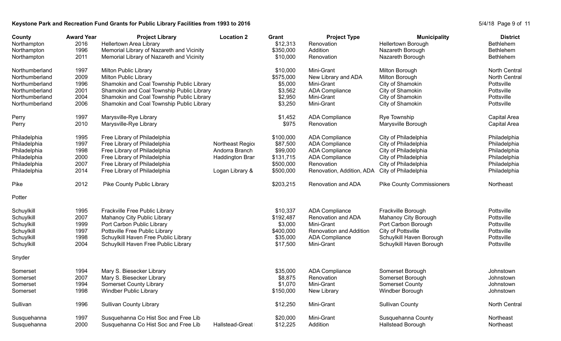## Keystone Park and Recreation Fund Grants for Public Library Facilities from 1993 to 2016<br>
S/4/18 Page 9 of 11

| County<br>Northampton | <b>Award Year</b><br>2016 | <b>Project Library</b><br>Hellertown Area Library | <b>Location 2</b> | Grant<br>\$12,313 | <b>Project Type</b><br>Renovation | <b>Municipality</b><br><b>Hellertown Borough</b> | <b>District</b><br><b>Bethlehem</b> |
|-----------------------|---------------------------|---------------------------------------------------|-------------------|-------------------|-----------------------------------|--------------------------------------------------|-------------------------------------|
| Northampton           | 1996                      | Memorial Library of Nazareth and Vicinity         |                   | \$350,000         | Addition                          | Nazareth Borough                                 | <b>Bethlehem</b>                    |
| Northampton           | 2011                      | Memorial Library of Nazareth and Vicinity         |                   | \$10,000          | Renovation                        | Nazareth Borough                                 | <b>Bethlehem</b>                    |
| Northumberland        | 1997                      | <b>Milton Public Library</b>                      |                   | \$10,000          | Mini-Grant                        | Milton Borough                                   | <b>North Central</b>                |
| Northumberland        | 2009                      | <b>Milton Public Library</b>                      |                   | \$575,000         | New Library and ADA               | Milton Borough                                   | <b>North Central</b>                |
| Northumberland        | 1996                      | Shamokin and Coal Township Public Library         |                   | \$5,000           | Mini-Grant                        | City of Shamokin                                 | Pottsville                          |
| Northumberland        | 2001                      | Shamokin and Coal Township Public Library         |                   | \$3,562           | <b>ADA Compliance</b>             | City of Shamokin                                 | Pottsville                          |
| Northumberland        | 2004                      | Shamokin and Coal Township Public Library         |                   | \$2,950           | Mini-Grant                        | City of Shamokin                                 | Pottsville                          |
| Northumberland        | 2006                      | Shamokin and Coal Township Public Library         |                   | \$3,250           | Mini-Grant                        | City of Shamokin                                 | Pottsville                          |
| Perry                 | 1997                      | Marysville-Rye Library                            |                   | \$1,452           | <b>ADA Compliance</b>             | Rye Township                                     | Capital Area                        |
| Perry                 | 2010                      | Marysville-Rye Library                            |                   | \$975             | Renovation                        | Marysville Borough                               | Capital Area                        |
| Philadelphia          | 1995                      | Free Library of Philadelphia                      |                   | \$100,000         | <b>ADA Compliance</b>             | City of Philadelphia                             | Philadelphia                        |
| Philadelphia          | 1997                      | Free Library of Philadelphia                      | Northeast Region  | \$87,500          | <b>ADA Compliance</b>             | City of Philadelphia                             | Philadelphia                        |
| Philadelphia          | 1998                      | Free Library of Philadelphia                      | Andorra Branch    | \$99,000          | <b>ADA Compliance</b>             | City of Philadelphia                             | Philadelphia                        |
| Philadelphia          | 2000                      | Free Library of Philadelphia                      | Haddington Bran   | \$131,715         | <b>ADA Compliance</b>             | City of Philadelphia                             | Philadelphia                        |
| Philadelphia          | 2007                      | Free Library of Philadelphia                      |                   | \$500,000         | Renovation                        | City of Philadelphia                             | Philadelphia                        |
| Philadelphia          | 2014                      | Free Library of Philadelphia                      | Logan Library &   | \$500,000         | Renovation, Addition, ADA         | City of Philadelphia                             | Philadelphia                        |
| Pike                  | 2012                      | Pike County Public Library                        |                   | \$203,215         | Renovation and ADA                | <b>Pike County Commissioners</b>                 | Northeast                           |
| Potter                |                           |                                                   |                   |                   |                                   |                                                  |                                     |
| Schuylkill            | 1995                      | Frackville Free Public Library                    |                   | \$10,337          | <b>ADA Compliance</b>             | Frackville Borough                               | Pottsville                          |
| Schuylkill            | 2007                      | Mahanoy City Public Library                       |                   | \$192,487         | Renovation and ADA                | Mahanoy City Borough                             | Pottsville                          |
| Schuylkill            | 1999                      | Port Carbon Public Library                        |                   | \$3,000           | Mini-Grant                        | Port Carbon Borough                              | Pottsville                          |
| Schuylkill            | 1997                      | Pottsville Free Public Library                    |                   | \$400,000         | <b>Renovation and Addition</b>    | City of Pottsville                               | Pottsville                          |
| Schuylkill            | 1998                      | Schuylkill Haven Free Public Library              |                   | \$35,000          | <b>ADA Compliance</b>             | Schuylkill Haven Borough                         | Pottsville                          |
| Schuylkill            | 2004                      | Schuylkill Haven Free Public Library              |                   | \$17,500          | Mini-Grant                        | Schuylkill Haven Borough                         | Pottsville                          |
| Snyder                |                           |                                                   |                   |                   |                                   |                                                  |                                     |
| Somerset              | 1994                      | Mary S. Biesecker Library                         |                   | \$35,000          | <b>ADA Compliance</b>             | Somerset Borough                                 | Johnstown                           |
| Somerset              | 2007                      | Mary S. Biesecker Library                         |                   | \$8,875           | Renovation                        | Somerset Borough                                 | Johnstown                           |
| Somerset              | 1994                      | <b>Somerset County Library</b>                    |                   | \$1,070           | Mini-Grant                        | <b>Somerset County</b>                           | Johnstown                           |
| Somerset              | 1998                      | <b>Windber Public Library</b>                     |                   | \$150,000         | New Library                       | Windber Borough                                  | Johnstown                           |
| Sullivan              | 1996                      | <b>Sullivan County Library</b>                    |                   | \$12,250          | Mini-Grant                        | <b>Sullivan County</b>                           | <b>North Central</b>                |
| Susquehanna           | 1997                      | Susquehanna Co Hist Soc and Free Lib              |                   | \$20,000          | Mini-Grant                        | Susquehanna County                               | Northeast                           |
| Susquehanna           | 2000                      | Susquehanna Co Hist Soc and Free Lib              | Hallstead-Great   | \$12,225          | Addition                          | Hallstead Borough                                | Northeast                           |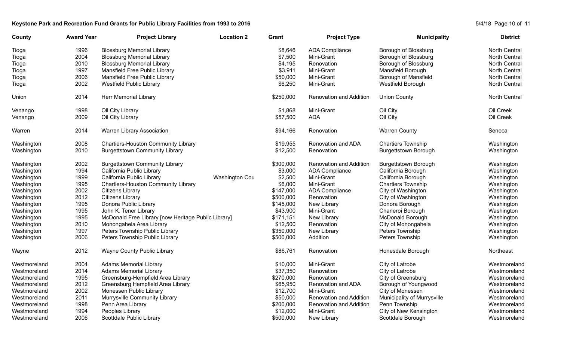## Keystone Park and Recreation Fund Grants for Public Library Facilities from 1993 to 2016<br>
S/4/18 Page 10 of 11

| County       | <b>Award Year</b> | <b>Project Library</b><br><b>Location 2</b>         | Grant     | <b>Project Type</b>            | <b>Municipality</b>         | <b>District</b>      |
|--------------|-------------------|-----------------------------------------------------|-----------|--------------------------------|-----------------------------|----------------------|
| Tioga        | 1996              | <b>Blossburg Memorial Library</b>                   | \$8,646   | <b>ADA Compliance</b>          | Borough of Blossburg        | <b>North Central</b> |
| Tioga        | 2004              | <b>Blossburg Memorial Library</b>                   | \$7,500   | Mini-Grant                     | Borough of Blossburg        | North Central        |
| Tioga        | 2010              | <b>Blossburg Memorial Library</b>                   | \$4,195   | Renovation                     | Borough of Blossburg        | North Central        |
| Tioga        | 1997              | Mansfield Free Public Library                       | \$3,911   | Mini-Grant                     | Mansfield Borough           | North Central        |
| Tioga        | 2006              | Mansfield Free Public Library                       | \$50,000  | Mini-Grant                     | <b>Borough of Mansfield</b> | <b>North Central</b> |
| Tioga        | 2002              | <b>Westfield Public Library</b>                     | \$6,250   | Mini-Grant                     | Westfield Borough           | North Central        |
| Union        | 2014              | Herr Memorial Library                               | \$250,000 | <b>Renovation and Addition</b> | <b>Union County</b>         | <b>North Central</b> |
| Venango      | 1998              | Oil City Library                                    | \$1,868   | Mini-Grant                     | Oil City                    | Oil Creek            |
| Venango      | 2009              | Oil City Library                                    | \$57,500  | <b>ADA</b>                     | Oil City                    | Oil Creek            |
| Warren       | 2014              | Warren Library Association                          | \$94,166  | Renovation                     | <b>Warren County</b>        | Seneca               |
| Washington   | 2008              | <b>Chartiers-Houston Community Library</b>          | \$19,955  | Renovation and ADA             | <b>Chartiers Township</b>   | Washington           |
| Washington   | 2010              | <b>Burgettstown Community Library</b>               | \$12,500  | Renovation                     | <b>Burgettstown Borough</b> | Washington           |
| Washington   | 2002              | <b>Burgettstown Community Library</b>               | \$300,000 | Renovation and Addition        | <b>Burgettstown Borough</b> | Washington           |
| Washington   | 1994              | California Public Library                           | \$3,000   | <b>ADA Compliance</b>          | California Borough          | Washington           |
| Washington   | 1999              | California Public Library<br><b>Washington Cou</b>  | \$2,500   | Mini-Grant                     | California Borough          | Washington           |
| Washington   | 1995              | <b>Chartiers-Houston Community Library</b>          | \$6,000   | Mini-Grant                     | <b>Chartiers Township</b>   | Washington           |
| Washington   | 2002              | Citizens Library                                    | \$147,000 | <b>ADA Compliance</b>          | City of Washington          | Washington           |
| Washington   | 2012              | <b>Citizens Library</b>                             | \$500,000 | Renovation                     | City of Washington          | Washington           |
| Washington   | 1995              | Donora Public Library                               | \$145,000 | New Library                    | Donora Borough              | Washington           |
| Washington   | 1995              | John K. Tener Library                               | \$43,900  | Mini-Grant                     | Charleroi Borough           | Washington           |
| Washington   | 1995              | McDonald Free Library [now Heritage Public Library] | \$171,151 | New Library                    | McDonald Borough            | Washington           |
| Washington   | 2010              | Monongahela Area Library                            | \$12,500  | Renovation                     | City of Monongahela         | Washington           |
| Washington   | 1997              | Peters Township Public Library                      | \$350,000 | New Library                    | Peters Township             | Washington           |
| Washington   | 2006              | Peters Township Public Library                      | \$500,000 | Addition                       | Peters Township             | Washington           |
| Wayne        | 2012              | Wayne County Public Library                         | \$86,761  | Renovation                     | Honesdale Borough           | Northeast            |
| Westmoreland | 2004              | <b>Adams Memorial Library</b>                       | \$10,000  | Mini-Grant                     | City of Latrobe             | Westmoreland         |
| Westmoreland | 2014              | <b>Adams Memorial Library</b>                       | \$37,350  | Renovation                     | City of Latrobe             | Westmoreland         |
| Westmoreland | 1995              | Greensburg-Hempfield Area Library                   | \$270,000 | Renovation                     | City of Greensburg          | Westmoreland         |
| Westmoreland | 2012              | Greensburg Hempfield Area Library                   | \$65,950  | Renovation and ADA             | Borough of Youngwood        | Westmoreland         |
| Westmoreland | 2002              | Monessen Public Library                             | \$12,700  | Mini-Grant                     | City of Monessen            | Westmoreland         |
| Westmoreland | 2011              | Murrysville Community Library                       | \$50,000  | Renovation and Addition        | Municipality of Murrysville | Westmoreland         |
| Westmoreland | 1998              | Penn Area Library                                   | \$200,000 | <b>Renovation and Addition</b> | Penn Township               | Westmoreland         |
| Westmoreland | 1994              | Peoples Library                                     | \$12,000  | Mini-Grant                     | City of New Kensington      | Westmoreland         |
| Westmoreland | 2006              | Scottdale Public Library                            | \$500,000 | New Library                    | Scottdale Borough           | Westmoreland         |